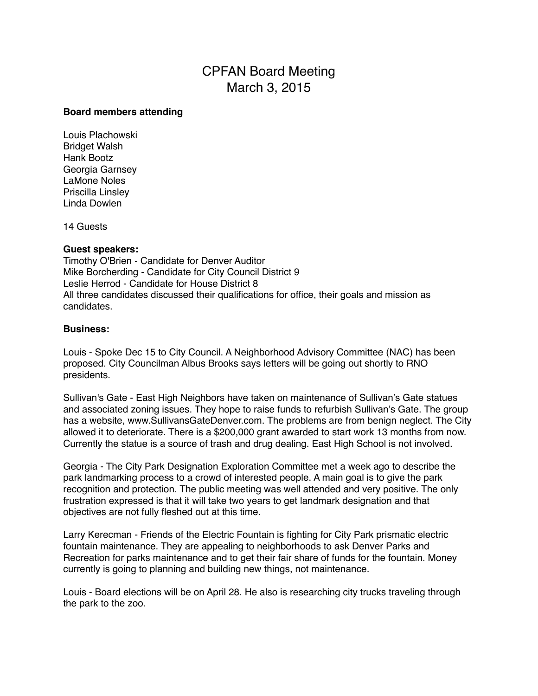## CPFAN Board Meeting March 3, 2015

## **Board members attending**

Louis Plachowski Bridget Walsh Hank Bootz Georgia Garnsey LaMone Noles Priscilla Linsley Linda Dowlen

14 Guests

## **Guest speakers:**

Timothy O'Brien - Candidate for Denver Auditor Mike Borcherding - Candidate for City Council District 9 Leslie Herrod - Candidate for House District 8 All three candidates discussed their qualifications for office, their goals and mission as candidates.

## **Business:**

Louis - Spoke Dec 15 to City Council. A Neighborhood Advisory Committee (NAC) has been proposed. City Councilman Albus Brooks says letters will be going out shortly to RNO presidents.

Sullivan's Gate - East High Neighbors have taken on maintenance of Sullivan's Gate statues and associated zoning issues. They hope to raise funds to refurbish Sullivan's Gate. The group has a website, www.SullivansGateDenver.com. The problems are from benign neglect. The City allowed it to deteriorate. There is a \$200,000 grant awarded to start work 13 months from now. Currently the statue is a source of trash and drug dealing. East High School is not involved.

Georgia - The City Park Designation Exploration Committee met a week ago to describe the park landmarking process to a crowd of interested people. A main goal is to give the park recognition and protection. The public meeting was well attended and very positive. The only frustration expressed is that it will take two years to get landmark designation and that objectives are not fully fleshed out at this time.

Larry Kerecman - Friends of the Electric Fountain is fighting for City Park prismatic electric fountain maintenance. They are appealing to neighborhoods to ask Denver Parks and Recreation for parks maintenance and to get their fair share of funds for the fountain. Money currently is going to planning and building new things, not maintenance.

Louis - Board elections will be on April 28. He also is researching city trucks traveling through the park to the zoo.